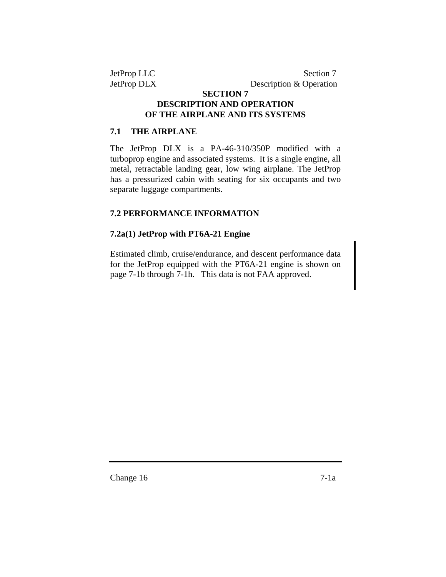# **SECTION 7 DESCRIPTION AND OPERATION OF THE AIRPLANE AND ITS SYSTEMS**

# **7.1 THE AIRPLANE**

The JetProp DLX is a PA-46-310/350P modified with a turboprop engine and associated systems. It is a single engine, all metal, retractable landing gear, low wing airplane. The JetProp has a pressurized cabin with seating for six occupants and two separate luggage compartments.

# **7.2 PERFORMANCE INFORMATION**

# **7.2a(1) JetProp with PT6A-21 Engine**

Estimated climb, cruise/endurance, and descent performance data for the JetProp equipped with the PT6A-21 engine is shown on page 7-1b through 7-1h. This data is not FAA approved.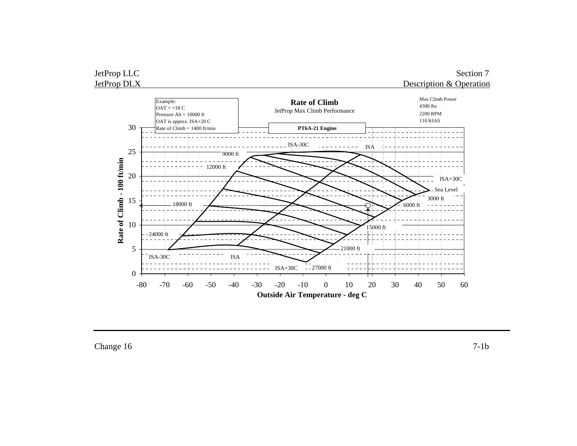



Change 16 7-1b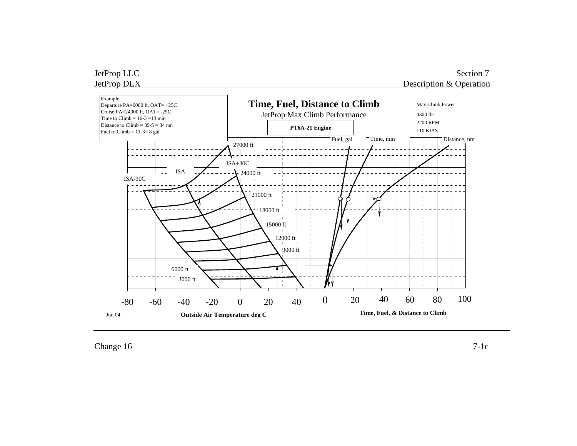

 $Change 16$   $7-1c$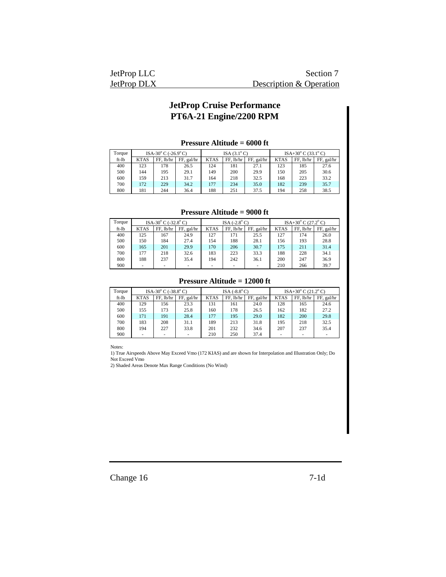| JetProp LLC        | Section 7               |
|--------------------|-------------------------|
| <b>JetProp DLX</b> | Description & Operation |

### **Pressure Altitude = 6000 ft**

| Torque |             | ISA-30 $^{\circ}$ C (-26.9 $^{\circ}$ C) |            | ISA $(3.1^{\circ} \text{C})$ |           |            | $ISA+30^{\circ}$ C (33.1°C) |           |            |
|--------|-------------|------------------------------------------|------------|------------------------------|-----------|------------|-----------------------------|-----------|------------|
| ft-lb  | <b>KTAS</b> | FF. lb/hr                                | FF, gal/hr | <b>KTAS</b>                  | FF. lb/hr | FF, gal/hr | <b>KTAS</b>                 | FF. lb/hr | FF, gal/hr |
| 400    | 123         | 178                                      | 26.5       | 124                          | 181       | 27.1       | 123                         | 185       | 27.6       |
| 500    | 144         | 195                                      | 29.1       | 149                          | 200       | 29.9       | 150                         | 205       | 30.6       |
| 600    | 159         | 213                                      | 31.7       | 164                          | 218       | 32.5       | 168                         | 223       | 33.2       |
| 700    | 172         | 229                                      | 34.2       | 177                          | 234       | 35.0       | 182                         | 239       | 35.7       |
| 800    | 181         | 244                                      | 36.4       | 188                          | 251       | 37.5       | 194                         | 258       | 38.5       |

#### **Pressure Altitude = 9000 ft**

| Torque | ISA-30 $^{\circ}$ C (-32.8 $^{\circ}$ C) |           |            | ISA $(-2.8^{\circ}C)$ |           |            | ISA+30 $^{\circ}$ C (27.2 $^{\circ}$ C) |           |            |
|--------|------------------------------------------|-----------|------------|-----------------------|-----------|------------|-----------------------------------------|-----------|------------|
| ft-lb  | <b>KTAS</b>                              | FF, lb/hr | FF, gal/hr | <b>KTAS</b>           | FF. lb/hr | FF, gal/hr | <b>KTAS</b>                             | FF. lb/hr | FF, gal/hr |
| 400    | 125                                      | 167       | 24.9       | 127                   | 171       | 25.5       | 127                                     | 174       | 26.0       |
| 500    | 150                                      | 184       | 27.4       | 154                   | 188       | 28.1       | 156                                     | 193       | 28.8       |
| 600    | 165                                      | 201       | 29.9       | 170                   | 206       | 30.7       | 175                                     | 211       | 31.4       |
| 700    | 177                                      | 218       | 32.6       | 183                   | 223       | 33.3       | 188                                     | 228       | 34.1       |
| 800    | 188                                      | 237       | 35.4       | 194                   | 242       | 36.1       | 200                                     | 247       | 36.9       |
| 900    |                                          |           |            | -                     | -         |            | 210                                     | 266       | 39.7       |

## **Pressure Altitude = 12000 ft**

| Torque | ISA-30 $^{\circ}$ C (-38.8 $^{\circ}$ C) |           |            | ISA $(-8.8^{\circ}C)$ |           |            | ISA+30 $^{\circ}$ C (21.2 $^{\circ}$ C) |           |            |
|--------|------------------------------------------|-----------|------------|-----------------------|-----------|------------|-----------------------------------------|-----------|------------|
| ft-lb  | <b>KTAS</b>                              | FF. lb/hr | FF, gal/hr | <b>KTAS</b>           | FF. lb/hr | FF, gal/hr | <b>KTAS</b>                             | FF. lb/hr | FF, gal/hr |
| 400    | 129                                      | 156       | 23.3       | 131                   | 161       | 24.0       | 128                                     | 165       | 24.6       |
| 500    | 155                                      | 173       | 25.8       | 160                   | 178       | 26.5       | 162                                     | 182       | 27.2       |
| 600    | 171                                      | 191       | 28.4       | 177                   | 195       | 29.0       | 182                                     | 200       | 29.8       |
| 700    | 183                                      | 208       | 31.1       | 189                   | 213       | 31.8       | 195                                     | 218       | 32.5       |
| 800    | 194                                      | 227       | 33.8       | 201                   | 232       | 34.6       | 207                                     | 237       | 35.4       |
| 900    |                                          |           |            | 210                   | 250       | 37.4       | -                                       | -         |            |

Notes:

1) True Airspeeds Above May Exceed Vmo (172 KIAS) and are shown for Interpolation and Illustration Only; Do Not Exceed Vmo

2) Shaded Areas Denote Max Range Conditions (No Wind)

Change 16 7-1d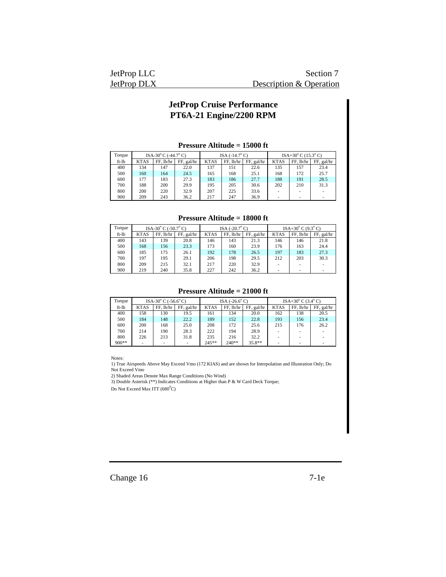| JetProp LLC | Section 7               |
|-------------|-------------------------|
| JetProp DLX | Description & Operation |

#### **Pressure Altitude = 15000 ft**

| Torque | ISA-30 $^{\circ}$ C (-44.7 $^{\circ}$ C) |           |            | ISA $(-14.7\degree$ C) |             |            | $ISA+30^{\circ}$ C (15.3°C) |           |            |
|--------|------------------------------------------|-----------|------------|------------------------|-------------|------------|-----------------------------|-----------|------------|
| ft-lb  | <b>KTAS</b>                              | FF. lb/hr | FF, gal/hr | <b>KTAS</b>            | $FF.$ lb/hr | FF, gal/hr | <b>KTAS</b>                 | FF. lb/hr | FF, gal/hr |
| 400    | 134                                      | 147       | 22.0       | 137                    | 151         | 22.6       | 135                         | 157       | 23.4       |
| 500    | 160                                      | 164       | 24.5       | 165                    | 168         | 25.1       | 168                         | 172       | 25.7       |
| 600    | 177                                      | 183       | 27.3       | 183                    | 186         | 27.7       | 188                         | 191       | 28.5       |
| 700    | 188                                      | 200       | 29.9       | 195                    | 205         | 30.6       | 202                         | 210       | 31.3       |
| 800    | 200                                      | 220       | 32.9       | 207                    | 225         | 33.6       |                             |           |            |
| 900    | 209                                      | 243       | 36.2       | 217                    | 247         | 36.9       |                             |           |            |

#### **Pressure Altitude = 18000 ft**

| Torque | ISA-30 $^{\circ}$ C (-50.7 $^{\circ}$ C) |           | ISA $(-20.7^{\circ} \text{C})$ |             |             | ISA+30 $^{\circ}$ C (9.3 $^{\circ}$ C) |             |           |            |
|--------|------------------------------------------|-----------|--------------------------------|-------------|-------------|----------------------------------------|-------------|-----------|------------|
| ft-lb  | <b>KTAS</b>                              | FF. lb/hr | FF, gal/hr                     | <b>KTAS</b> | $FF.$ lb/hr | FF, gal/hr                             | <b>KTAS</b> | FF. lb/hr | FF, gal/hr |
| 400    | 143                                      | 139       | 20.8                           | 146         | 143         | 21.3                                   | 146         | 146       | 21.8       |
| 500    | 168                                      | 156       | 23.3                           | 173         | 160         | 23.9                                   | 176         | 163       | 24.4       |
| 600    | 185                                      | 175       | 26.1                           | 192         | 178         | 26.5                                   | 197         | 183       | 27.3       |
| 700    | 197                                      | 195       | 29.1                           | 206         | 198         | 29.5                                   | 212         | 203       | 30.3       |
| 800    | 209                                      | 215       | 32.1                           | 217         | 220         | 32.9                                   |             |           |            |
| 900    | 219                                      | 240       | 35.8                           | 227         | 242         | 36.2                                   |             |           |            |

#### **Pressure Altitude = 21000 ft**

| Torque  | ISA-30 $^{\circ}$ C (-56.6 $^{\circ}$ C) |             | ISA $(-26.6^{\circ} C)$ |             |             | ISA+30 $^{\circ}$ C (3.4 $^{\circ}$ C) |             |           |            |
|---------|------------------------------------------|-------------|-------------------------|-------------|-------------|----------------------------------------|-------------|-----------|------------|
| ft-lb   | <b>KTAS</b>                              | $FF.$ lb/hr | FF, gal/hr              | <b>KTAS</b> | $FF.$ lb/hr | FF, gal/hr                             | <b>KTAS</b> | FF. lb/hr | FF, gal/hr |
| 400     | 158                                      | 130         | 19.5                    | 161         | 134         | 20.0                                   | 162         | 138       | 20.5       |
| 500     | 184                                      | 148         | 22.2                    | 189         | 152         | 22.8                                   | 193         | 156       | 23.4       |
| 600     | 200                                      | 168         | 25.0                    | 208         | 172         | 25.6                                   | 215         | 176       | 26.2       |
| 700     | 214                                      | 190         | 28.3                    | 222         | 194         | 28.9                                   |             |           | $\sim$     |
| 800     | 226                                      | 213         | 31.8                    | 235         | 216         | 32.2                                   |             |           | ۰          |
| $900**$ |                                          |             | ۰                       | $245**$     | $240**$     | $35.8**$                               |             |           |            |

Notes:

1) True Airspeeds Above May Exceed Vmo (172 KIAS) and are shown for Interpolation and Illustration Only; Do Not Exceed Vmo

2) Shaded Areas Denote Max Range Conditions (No Wind)

3) Double Asterisk (\*\*) Indicates Conditions at Higher than P & W Card Deck Torque;

Do Not Exceed Max ITT  $(680^0C)$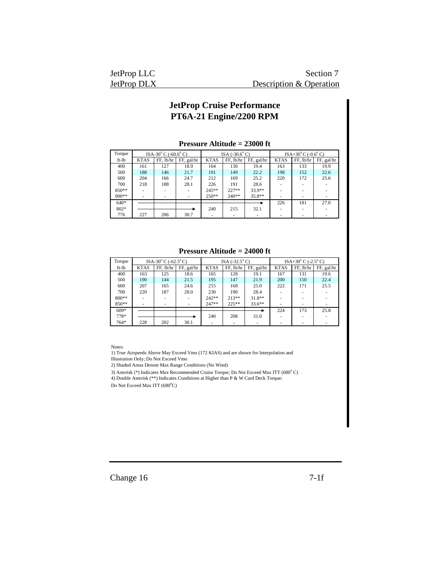| JetProp LLC        | Section 7               |
|--------------------|-------------------------|
| <b>JetProp DLX</b> | Description & Operation |

#### **Pressure Altitude = 23000 ft**

| Torque |             | ISA-30 $^{\circ}$ C (-60.6 $^{\circ}$ C) |            |             | ISA $(-30.6^{\circ} \text{C})$ |            |             | ISA+30 $^{\circ}$ C (-0.6 $^{\circ}$ C) |            |  |
|--------|-------------|------------------------------------------|------------|-------------|--------------------------------|------------|-------------|-----------------------------------------|------------|--|
| ft-lb  | <b>KTAS</b> | FF. lb/hr                                | FF, gal/hr | <b>KTAS</b> | FF. lb/hr                      | FF, gal/hr | <b>KTAS</b> | $FF.$ lb/hr                             | FF, gal/hr |  |
| 400    | 161         | 127                                      | 18.9       | 164         | 130                            | 19.4       | 163         | 133                                     | 19.9       |  |
| 500    | 188         | 146                                      | 21.7       | 191         | 149                            | 22.2       | 198         | 152                                     | 22.6       |  |
| 600    | 204         | 166                                      | 24.7       | 212         | 169                            | 25.2       | 220         | 172                                     | 25.6       |  |
| 700    | 218         | 188                                      | 28.1       | 226         | 191                            | 28.6       |             |                                         |            |  |
| 850**  |             |                                          |            | 245**       | $227**$                        | 33.9**     |             |                                         |            |  |
| 900**  | ۰           | ۰                                        |            | $250**$     | $240**$                        | 35.8**     | ۰           | ٠                                       |            |  |
| $640*$ |             |                                          |            |             |                                |            | 226         | 181                                     | 27.0       |  |
| 802*   |             |                                          |            | 240         | 215                            | 32.1       |             |                                         |            |  |
| 776    | 227         | 206                                      | 30.7       | ۰           | ٠                              |            | ۰           | ٠                                       |            |  |

#### **Pressure Altitude = 24000 ft**

| Torque |             | ISA-30 $^{\circ}$ C (-62.5 $^{\circ}$ C) |            | ISA $(-32.5^{\circ} C)$ |           |            | ISA+30 $^{\circ}$ C (-2.5 $^{\circ}$ C) |           |            |
|--------|-------------|------------------------------------------|------------|-------------------------|-----------|------------|-----------------------------------------|-----------|------------|
| ft-lb  | <b>KTAS</b> | FF, lb/hr                                | FF, gal/hr | <b>KTAS</b>             | FF. lb/hr | FF, gal/hr | <b>KTAS</b>                             | FF. lb/hr | FF, gal/hr |
| 400    | 163         | 125                                      | 18.6       | 165                     | 128       | 19.1       | 167                                     | 131       | 19.6       |
| 500    | 190         | 144                                      | 21.5       | 195                     | 147       | 21.9       | 200                                     | 150       | 22.4       |
| 600    | 207         | 165                                      | 24.6       | 215                     | 168       | 25.0       | 222                                     | 171       | 25.5       |
| 700    | 220         | 187                                      | 28.0       | 230                     | 190       | 28.4       |                                         |           |            |
| 800**  |             |                                          |            | $242**$                 | $213**$   | $31.8**$   |                                         |           |            |
| 850**  | ۰           |                                          |            | 247**                   | $225**$   | $33.6**$   |                                         | ۰         |            |
| $609*$ |             |                                          |            |                         |           |            | 224                                     | 173       | 25.8       |
| 778*   |             |                                          |            | 240                     | 208       | 31.0       |                                         |           |            |
| 764*   | 228         | 202                                      | 30.1       |                         | ۰         |            |                                         |           |            |

Notes:

1) True Airspeeds Above May Exceed Vmo (172 KIAS) and are shown for Interpolation and Illustration Only; Do Not Exceed Vmo

2) Shaded Areas Denote Max Range Conditions (No Wind)

3) Asterisk (\*) Indicates Max Recommended Cruise Torque; Do Not Exceed Max ITT (680°C)

4) Double Asterisk (\*\*) Indicates Conditions at Higher than P & W Card Deck Torque;

Do Not Exceed Max ITT  $(680^0C)$ 

Change 16 7-1f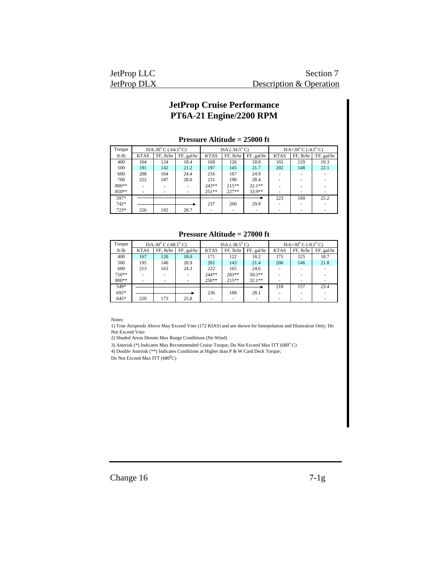| JetProp LLC | Section <sup>-</sup>    |
|-------------|-------------------------|
| JetProp DLX | Description & Operation |

| Torque  | ISA-30 $\rm{^{\circ}C}$ (-64.5 $\rm{^{\circ}C}$ ) |           |            | ISA $(-34.5^{\circ} C)$ |           |            | ISA+30 $^{\circ}$ C (-4.5 $^{\circ}$ C) |           |            |
|---------|---------------------------------------------------|-----------|------------|-------------------------|-----------|------------|-----------------------------------------|-----------|------------|
| ft-lb   | <b>KTAS</b>                                       | FF, lb/hr | FF, gal/hr | <b>KTAS</b>             | FF, lb/hr | FF, gal/hr | <b>KTAS</b>                             | FF. lb/hr | FF, gal/hr |
| 400     | 164                                               | 124       | 18.4       | 168                     | 126       | 18.8       | 165                                     | 129       | 19.3       |
| 500     | 191                                               | 142       | 21.2       | 197                     | 145       | 21.7       | 202                                     | 148       | 22.1       |
| 600     | 208                                               | 164       | 24.4       | 216                     | 167       | 24.9       |                                         |           |            |
| 700     | 222                                               | 187       | 28.0       | 231                     | 190       | 28.4       |                                         |           |            |
| $800**$ |                                                   |           |            | $243**$                 | $215**$   | $32.1**$   |                                         |           |            |
| 850**   |                                                   |           |            | $251**$                 | $227**$   | 33.9**     | ۰                                       |           |            |
| 597*    |                                                   |           |            |                         |           |            | 223                                     | 169       | 25.2       |
| 742*    |                                                   |           |            | 237                     | 200       | 29.9       |                                         |           |            |
| $723*$  | 226                                               | 192       | 28.7       |                         |           |            |                                         |           |            |

#### **Pressure Altitude = 25000 ft**

**Pressure Altitude = 27000 ft**

| Torque | ISA-30 $^{\circ}$ C (-68.5 $^{\circ}$ C) |           |            | ISA $(-38.5^{\circ} C)$ |           |            | ISA+30 $^{\circ}$ C (-8.5 $^{\circ}$ C) |           |            |
|--------|------------------------------------------|-----------|------------|-------------------------|-----------|------------|-----------------------------------------|-----------|------------|
| ft-lb  | <b>KTAS</b>                              | FF. lb/hr | FF, gal/hr | <b>KTAS</b>             | FF, lb/hr | FF, gal/hr | <b>KTAS</b>                             | FF. lb/hr | FF, gal/hr |
| 400    | 167                                      | 120       | 18.0       | 171                     | 122       | 18.2       | 171                                     | 125       | 18.7       |
| 500    | 195                                      | 140       | 20.9       | 201                     | 143       | 21.4       | 206                                     | 146       | 21.8       |
| 600    | 213                                      | 163       | 24.3       | 222                     | 165       | 24.6       |                                         |           |            |
| 750**  |                                          |           | $\sim$     | $244**$                 | $203**$   | $30.3**$   | ۰                                       |           |            |
| 800**  |                                          |           | $\sim$     | $250**$                 | $215**$   | $32.1**$   |                                         | ۰         |            |
| 549*   |                                          |           |            |                         |           |            | 218                                     | 157       | 23.4       |
| $692*$ |                                          |           |            | 236                     | 188       | 28.1       |                                         |           |            |
| $645*$ | 220                                      | 173       | 25.8       |                         |           |            | ۰                                       | ۰         |            |

Notes:

1) True Airspeeds Above May Exceed Vmo (172 KIAS) and are shown for Interpolation and Illustration Only; Do Not Exceed Vmo

2) Shaded Areas Denote Max Range Conditions (No Wind)

3) Asterisk (\*) Indicates Max Recommended Cruise Torque; Do Not Exceed Max ITT (680°C)

4) Double Asterisk (\*\*) Indicates Conditions at Higher than P & W Card Deck Torque;

Do Not Exceed Max ITT  $(680^0C)$ 

Change 16 7-1g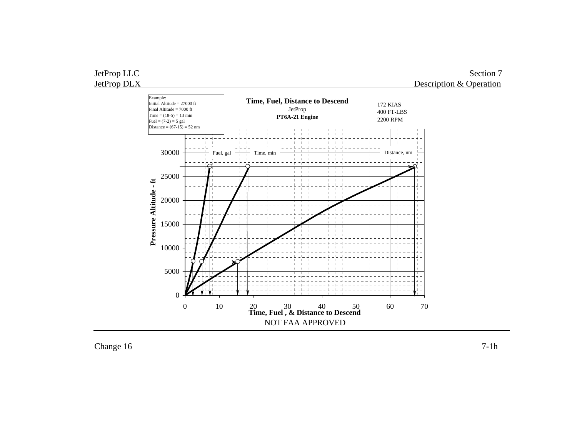

Change 16 7-1h